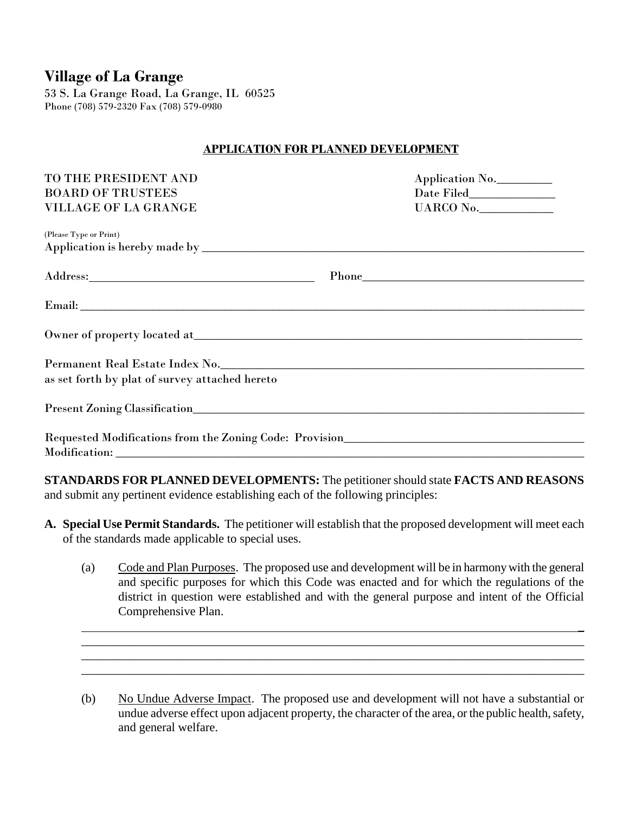# **Village of La Grange**

53 S. La Grange Road, La Grange, IL 60525 Phone (708) 579-2320 Fax (708) 579-0980

## **APPLICATION FOR PLANNED DEVELOPMENT**

| TO THE PRESIDENT AND                                                                                                                                                                                                           | Application No. |  |
|--------------------------------------------------------------------------------------------------------------------------------------------------------------------------------------------------------------------------------|-----------------|--|
| <b>BOARD OF TRUSTEES</b>                                                                                                                                                                                                       |                 |  |
| VILLAGE OF LA GRANGE                                                                                                                                                                                                           | UARCO No.       |  |
| (Please Type or Print)                                                                                                                                                                                                         |                 |  |
|                                                                                                                                                                                                                                |                 |  |
|                                                                                                                                                                                                                                |                 |  |
|                                                                                                                                                                                                                                |                 |  |
|                                                                                                                                                                                                                                |                 |  |
| Permanent Real Estate Index No. No. 2008 1991 12:30 12:30 12:30 12:30 12:30 12:30 12:30 12:30 12:30 12:30 12:30 12:30 12:30 12:30 12:30 12:30 12:30 12:30 12:30 12:30 12:30 12:30 12:30 12:30 12:30 12:30 12:30 12:30 12:30 12 |                 |  |
| as set forth by plat of survey attached hereto                                                                                                                                                                                 |                 |  |
|                                                                                                                                                                                                                                |                 |  |
|                                                                                                                                                                                                                                |                 |  |
|                                                                                                                                                                                                                                |                 |  |
|                                                                                                                                                                                                                                |                 |  |

**STANDARDS FOR PLANNED DEVELOPMENTS:** The petitioner should state **FACTS AND REASONS** and submit any pertinent evidence establishing each of the following principles:

- **A. Special Use Permit Standards.** The petitioner will establish that the proposed development will meet each of the standards made applicable to special uses.
	- (a) Code and Plan Purposes. The proposed use and development will be in harmony with the general and specific purposes for which this Code was enacted and for which the regulations of the district in question were established and with the general purpose and intent of the Official Comprehensive Plan.

\_\_\_\_\_\_\_\_\_\_\_\_\_\_\_\_\_\_\_\_\_\_\_\_\_\_\_\_\_\_\_\_\_\_\_\_\_\_\_\_\_\_\_\_\_\_\_\_\_\_\_\_\_\_\_\_\_\_\_\_\_\_\_\_\_\_\_\_\_\_\_\_\_\_\_\_\_\_\_\_\_\_\_ \_\_\_\_\_\_\_\_\_\_\_\_\_\_\_\_\_\_\_\_\_\_\_\_\_\_\_\_\_\_\_\_\_\_\_\_\_\_\_\_\_\_\_\_\_\_\_\_\_\_\_\_\_\_\_\_\_\_\_\_\_\_\_\_\_\_\_\_\_\_\_\_\_\_\_\_\_\_\_\_\_\_ \_\_\_\_\_\_\_\_\_\_\_\_\_\_\_\_\_\_\_\_\_\_\_\_\_\_\_\_\_\_\_\_\_\_\_\_\_\_\_\_\_\_\_\_\_\_\_\_\_\_\_\_\_\_\_\_\_\_\_\_\_\_\_\_\_\_\_\_\_\_\_\_\_\_\_\_\_\_\_\_\_\_

\_

(b) No Undue Adverse Impact. The proposed use and development will not have a substantial or undue adverse effect upon adjacent property, the character of the area, or the public health, safety, and general welfare.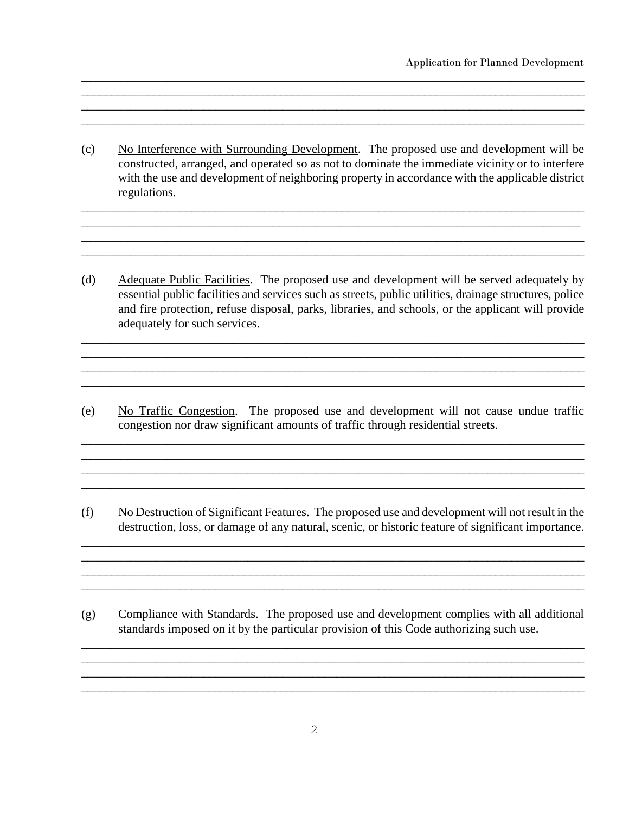(c) No Interference with Surrounding Development. The proposed use and development will be constructed, arranged, and operated so as not to dominate the immediate vicinity or to interfere with the use and development of neighboring property in accordance with the applicable district regulations.

 $\_$  , and the set of the set of the set of the set of the set of the set of the set of the set of the set of the set of the set of the set of the set of the set of the set of the set of the set of the set of the set of th \_\_\_\_\_\_\_\_\_\_\_\_\_\_\_\_\_\_\_\_\_\_\_\_\_\_\_\_\_\_\_\_\_\_\_\_\_\_\_\_\_\_\_\_\_\_\_\_\_\_\_\_\_\_\_\_\_\_\_\_\_\_\_\_\_\_\_\_\_\_\_\_\_\_\_\_\_\_\_\_\_ \_\_\_\_\_\_\_\_\_\_\_\_\_\_\_\_\_\_\_\_\_\_\_\_\_\_\_\_\_\_\_\_\_\_\_\_\_\_\_\_\_\_\_\_\_\_\_\_\_\_\_\_\_\_\_\_\_\_\_\_\_\_\_\_\_\_\_\_\_\_\_\_\_\_\_\_\_\_\_\_\_\_ \_\_\_\_\_\_\_\_\_\_\_\_\_\_\_\_\_\_\_\_\_\_\_\_\_\_\_\_\_\_\_\_\_\_\_\_\_\_\_\_\_\_\_\_\_\_\_\_\_\_\_\_\_\_\_\_\_\_\_\_\_\_\_\_\_\_\_\_\_\_\_\_\_\_\_\_\_\_\_\_\_\_

 $\_$  , and the set of the set of the set of the set of the set of the set of the set of the set of the set of the set of the set of the set of the set of the set of the set of the set of the set of the set of the set of th \_\_\_\_\_\_\_\_\_\_\_\_\_\_\_\_\_\_\_\_\_\_\_\_\_\_\_\_\_\_\_\_\_\_\_\_\_\_\_\_\_\_\_\_\_\_\_\_\_\_\_\_\_\_\_\_\_\_\_\_\_\_\_\_\_\_\_\_\_\_\_\_\_\_\_\_\_\_\_\_\_\_\_\_ \_\_\_\_\_\_\_\_\_\_\_\_\_\_\_\_\_\_\_\_\_\_\_\_\_\_\_\_\_\_\_\_\_\_\_\_\_\_\_\_\_\_\_\_\_\_\_\_\_\_\_\_\_\_\_\_\_\_\_\_\_\_\_\_\_\_\_\_\_\_\_\_\_\_\_\_\_\_\_\_\_\_\_ \_\_\_\_\_\_\_\_\_\_\_\_\_\_\_\_\_\_\_\_\_\_\_\_\_\_\_\_\_\_\_\_\_\_\_\_\_\_\_\_\_\_\_\_\_\_\_\_\_\_\_\_\_\_\_\_\_\_\_\_\_\_\_\_\_\_\_\_\_\_\_\_\_\_\_\_\_\_\_\_\_\_\_

(d) Adequate Public Facilities. The proposed use and development will be served adequately by essential public facilities and services such as streets, public utilities, drainage structures, police and fire protection, refuse disposal, parks, libraries, and schools, or the applicant will provide adequately for such services.

\_\_\_\_\_\_\_\_\_\_\_\_\_\_\_\_\_\_\_\_\_\_\_\_\_\_\_\_\_\_\_\_\_\_\_\_\_\_\_\_\_\_\_\_\_\_\_\_\_\_\_\_\_\_\_\_\_\_\_\_\_\_\_\_\_\_\_\_\_\_\_\_\_\_\_\_\_\_\_\_\_\_\_\_ \_\_\_\_\_\_\_\_\_\_\_\_\_\_\_\_\_\_\_\_\_\_\_\_\_\_\_\_\_\_\_\_\_\_\_\_\_\_\_\_\_\_\_\_\_\_\_\_\_\_\_\_\_\_\_\_\_\_\_\_\_\_\_\_\_\_\_\_\_\_\_\_\_\_\_\_\_\_\_\_\_\_ \_\_\_\_\_\_\_\_\_\_\_\_\_\_\_\_\_\_\_\_\_\_\_\_\_\_\_\_\_\_\_\_\_\_\_\_\_\_\_\_\_\_\_\_\_\_\_\_\_\_\_\_\_\_\_\_\_\_\_\_\_\_\_\_\_\_\_\_\_\_\_\_\_\_\_\_\_\_\_\_\_\_\_\_\_  $\_$  , and the set of the set of the set of the set of the set of the set of the set of the set of the set of the set of the set of the set of the set of the set of the set of the set of the set of the set of the set of th

(e) No Traffic Congestion. The proposed use and development will not cause undue traffic congestion nor draw significant amounts of traffic through residential streets.

 $\_$  , and the set of the set of the set of the set of the set of the set of the set of the set of the set of the set of the set of the set of the set of the set of the set of the set of the set of the set of the set of th \_\_\_\_\_\_\_\_\_\_\_\_\_\_\_\_\_\_\_\_\_\_\_\_\_\_\_\_\_\_\_\_\_\_\_\_\_\_\_\_\_\_\_\_\_\_\_\_\_\_\_\_\_\_\_\_\_\_\_\_\_\_\_\_\_\_\_\_\_\_\_\_\_\_\_\_\_\_\_\_\_\_ \_\_\_\_\_\_\_\_\_\_\_\_\_\_\_\_\_\_\_\_\_\_\_\_\_\_\_\_\_\_\_\_\_\_\_\_\_\_\_\_\_\_\_\_\_\_\_\_\_\_\_\_\_\_\_\_\_\_\_\_\_\_\_\_\_\_\_\_\_\_\_\_\_\_\_\_\_\_\_\_\_\_\_\_

(f) No Destruction of Significant Features. The proposed use and development will not result in the destruction, loss, or damage of any natural, scenic, or historic feature of significant importance.

\_\_\_\_\_\_\_\_\_\_\_\_\_\_\_\_\_\_\_\_\_\_\_\_\_\_\_\_\_\_\_\_\_\_\_\_\_\_\_\_\_\_\_\_\_\_\_\_\_\_\_\_\_\_\_\_\_\_\_\_\_\_\_\_\_\_\_\_\_\_\_\_\_\_\_\_\_\_\_\_\_\_\_\_ \_\_\_\_\_\_\_\_\_\_\_\_\_\_\_\_\_\_\_\_\_\_\_\_\_\_\_\_\_\_\_\_\_\_\_\_\_\_\_\_\_\_\_\_\_\_\_\_\_\_\_\_\_\_\_\_\_\_\_\_\_\_\_\_\_\_\_\_\_\_\_\_\_\_\_\_\_\_\_\_\_\_  $\_$  , and the set of the set of the set of the set of the set of the set of the set of the set of the set of the set of the set of the set of the set of the set of the set of the set of the set of the set of the set of th \_\_\_\_\_\_\_\_\_\_\_\_\_\_\_\_\_\_\_\_\_\_\_\_\_\_\_\_\_\_\_\_\_\_\_\_\_\_\_\_\_\_\_\_\_\_\_\_\_\_\_\_\_\_\_\_\_\_\_\_\_\_\_\_\_\_\_\_\_\_\_\_\_\_\_\_\_\_\_\_\_\_\_

(g) Compliance with Standards. The proposed use and development complies with all additional standards imposed on it by the particular provision of this Code authorizing such use.

 $\_$  , and the set of the set of the set of the set of the set of the set of the set of the set of the set of the set of the set of the set of the set of the set of the set of the set of the set of the set of the set of th \_\_\_\_\_\_\_\_\_\_\_\_\_\_\_\_\_\_\_\_\_\_\_\_\_\_\_\_\_\_\_\_\_\_\_\_\_\_\_\_\_\_\_\_\_\_\_\_\_\_\_\_\_\_\_\_\_\_\_\_\_\_\_\_\_\_\_\_\_\_\_\_\_\_\_\_\_\_\_\_\_\_ \_\_\_\_\_\_\_\_\_\_\_\_\_\_\_\_\_\_\_\_\_\_\_\_\_\_\_\_\_\_\_\_\_\_\_\_\_\_\_\_\_\_\_\_\_\_\_\_\_\_\_\_\_\_\_\_\_\_\_\_\_\_\_\_\_\_\_\_\_\_\_\_\_\_\_\_\_\_\_\_\_\_\_ \_\_\_\_\_\_\_\_\_\_\_\_\_\_\_\_\_\_\_\_\_\_\_\_\_\_\_\_\_\_\_\_\_\_\_\_\_\_\_\_\_\_\_\_\_\_\_\_\_\_\_\_\_\_\_\_\_\_\_\_\_\_\_\_\_\_\_\_\_\_\_\_\_\_\_\_\_\_\_\_\_\_\_\_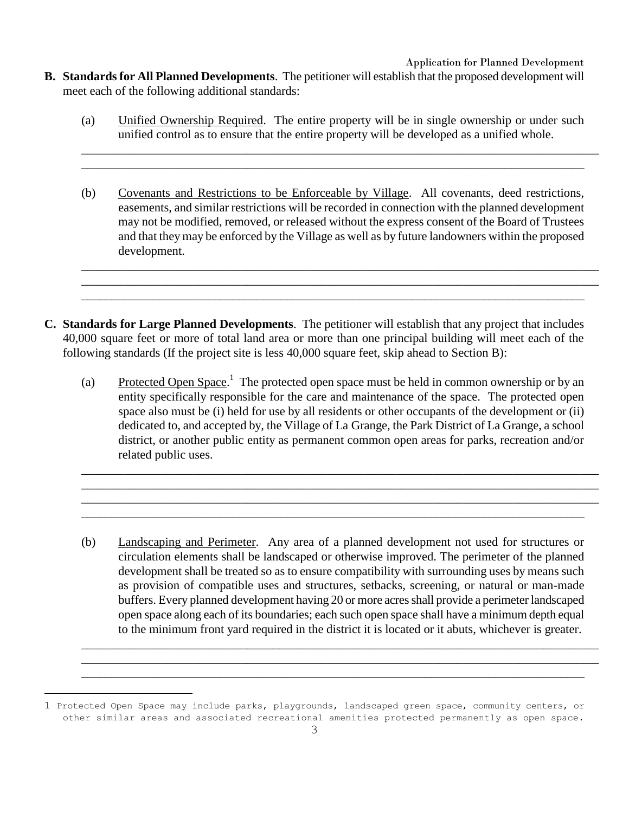- **B. Standards for All Planned Developments**. The petitioner will establish that the proposed development will meet each of the following additional standards:
	- (a) Unified Ownership Required. The entire property will be in single ownership or under such unified control as to ensure that the entire property will be developed as a unified whole.

\_\_\_\_\_\_\_\_\_\_\_\_\_\_\_\_\_\_\_\_\_\_\_\_\_\_\_\_\_\_\_\_\_\_\_\_\_\_\_\_\_\_\_\_\_\_\_\_\_\_\_\_\_\_\_\_\_\_\_\_\_\_\_\_\_\_\_\_\_\_\_\_\_\_\_\_\_\_\_\_\_\_\_\_ \_\_\_\_\_\_\_\_\_\_\_\_\_\_\_\_\_\_\_\_\_\_\_\_\_\_\_\_\_\_\_\_\_\_\_\_\_\_\_\_\_\_\_\_\_\_\_\_\_\_\_\_\_\_\_\_\_\_\_\_\_\_\_\_\_\_\_\_\_\_\_\_\_\_\_\_\_\_\_\_\_\_

(b) Covenants and Restrictions to be Enforceable by Village. All covenants, deed restrictions, easements, and similar restrictions will be recorded in connection with the planned development may not be modified, removed, or released without the express consent of the Board of Trustees and that they may be enforced by the Village as well as by future landowners within the proposed development.

\_\_\_\_\_\_\_\_\_\_\_\_\_\_\_\_\_\_\_\_\_\_\_\_\_\_\_\_\_\_\_\_\_\_\_\_\_\_\_\_\_\_\_\_\_\_\_\_\_\_\_\_\_\_\_\_\_\_\_\_\_\_\_\_\_\_\_\_\_\_\_\_\_\_\_\_\_\_\_\_\_\_\_\_ \_\_\_\_\_\_\_\_\_\_\_\_\_\_\_\_\_\_\_\_\_\_\_\_\_\_\_\_\_\_\_\_\_\_\_\_\_\_\_\_\_\_\_\_\_\_\_\_\_\_\_\_\_\_\_\_\_\_\_\_\_\_\_\_\_\_\_\_\_\_\_\_\_\_\_\_\_\_\_\_\_\_\_\_ \_\_\_\_\_\_\_\_\_\_\_\_\_\_\_\_\_\_\_\_\_\_\_\_\_\_\_\_\_\_\_\_\_\_\_\_\_\_\_\_\_\_\_\_\_\_\_\_\_\_\_\_\_\_\_\_\_\_\_\_\_\_\_\_\_\_\_\_\_\_\_\_\_\_\_\_\_\_\_\_\_\_\_\_

- **C. Standards for Large Planned Developments**. The petitioner will establish that any project that includes 40,000 square feet or more of total land area or more than one principal building will meet each of the following standards (If the project site is less 40,000 square feet, skip ahead to Section B):
	- (a) Protected Open Space.<sup>1</sup> The protected open space must be held in common ownership or by an entity specifically responsible for the care and maintenance of the space. The protected open space also must be (i) held for use by all residents or other occupants of the development or (ii) dedicated to, and accepted by, the Village of La Grange, the Park District of La Grange, a school district, or another public entity as permanent common open areas for parks, recreation and/or related public uses.

\_\_\_\_\_\_\_\_\_\_\_\_\_\_\_\_\_\_\_\_\_\_\_\_\_\_\_\_\_\_\_\_\_\_\_\_\_\_\_\_\_\_\_\_\_\_\_\_\_\_\_\_\_\_\_\_\_\_\_\_\_\_\_\_\_\_\_\_\_\_\_\_\_\_\_\_\_\_\_\_\_\_\_\_ \_\_\_\_\_\_\_\_\_\_\_\_\_\_\_\_\_\_\_\_\_\_\_\_\_\_\_\_\_\_\_\_\_\_\_\_\_\_\_\_\_\_\_\_\_\_\_\_\_\_\_\_\_\_\_\_\_\_\_\_\_\_\_\_\_\_\_\_\_\_\_\_\_\_\_\_\_\_\_\_\_\_\_\_ \_\_\_\_\_\_\_\_\_\_\_\_\_\_\_\_\_\_\_\_\_\_\_\_\_\_\_\_\_\_\_\_\_\_\_\_\_\_\_\_\_\_\_\_\_\_\_\_\_\_\_\_\_\_\_\_\_\_\_\_\_\_\_\_\_\_\_\_\_\_\_\_\_\_\_\_\_\_\_\_\_\_\_\_ \_\_\_\_\_\_\_\_\_\_\_\_\_\_\_\_\_\_\_\_\_\_\_\_\_\_\_\_\_\_\_\_\_\_\_\_\_\_\_\_\_\_\_\_\_\_\_\_\_\_\_\_\_\_\_\_\_\_\_\_\_\_\_\_\_\_\_\_\_\_\_\_\_\_\_\_\_\_\_\_\_\_\_\_

(b) Landscaping and Perimeter. Any area of a planned development not used for structures or circulation elements shall be landscaped or otherwise improved. The perimeter of the planned development shall be treated so as to ensure compatibility with surrounding uses by means such as provision of compatible uses and structures, setbacks, screening, or natural or man-made buffers. Every planned development having 20 or more acres shall provide a perimeter landscaped open space along each of its boundaries; each such open space shall have a minimum depth equal to the minimum front yard required in the district it is located or it abuts, whichever is greater.

\_\_\_\_\_\_\_\_\_\_\_\_\_\_\_\_\_\_\_\_\_\_\_\_\_\_\_\_\_\_\_\_\_\_\_\_\_\_\_\_\_\_\_\_\_\_\_\_\_\_\_\_\_\_\_\_\_\_\_\_\_\_\_\_\_\_\_\_\_\_\_\_\_\_\_\_\_\_\_\_\_\_\_\_ \_\_\_\_\_\_\_\_\_\_\_\_\_\_\_\_\_\_\_\_\_\_\_\_\_\_\_\_\_\_\_\_\_\_\_\_\_\_\_\_\_\_\_\_\_\_\_\_\_\_\_\_\_\_\_\_\_\_\_\_\_\_\_\_\_\_\_\_\_\_\_\_\_\_\_\_\_\_\_\_\_\_\_\_ \_\_\_\_\_\_\_\_\_\_\_\_\_\_\_\_\_\_\_\_\_\_\_\_\_\_\_\_\_\_\_\_\_\_\_\_\_\_\_\_\_\_\_\_\_\_\_\_\_\_\_\_\_\_\_\_\_\_\_\_\_\_\_\_\_\_\_\_\_\_\_\_\_\_\_\_\_\_\_\_\_\_\_\_

L,

<sup>1</sup> Protected Open Space may include parks, playgrounds, landscaped green space, community centers, or other similar areas and associated recreational amenities protected permanently as open space.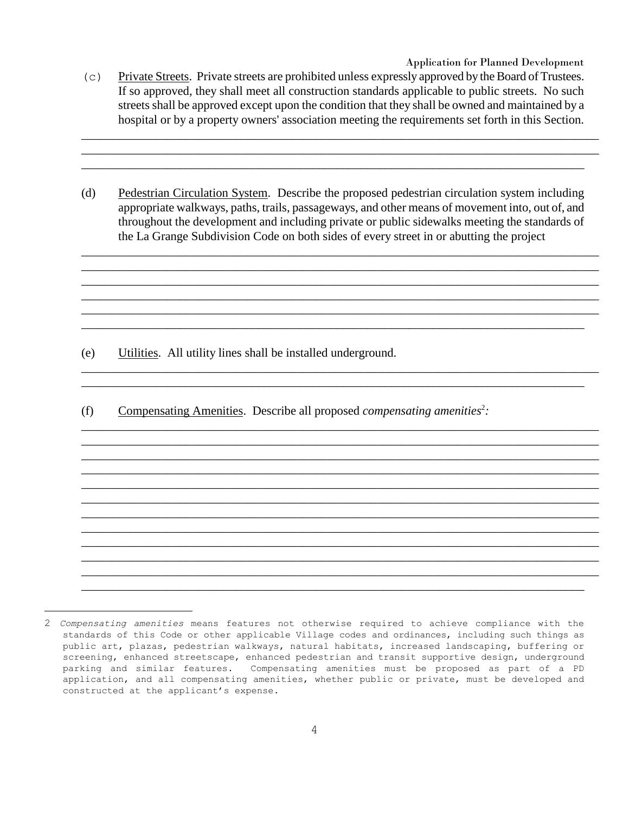Application for Planned Development

(c) Private Streets. Private streets are prohibited unless expressly approved by the Board of Trustees. If so approved, they shall meet all construction standards applicable to public streets. No such streets shall be approved except upon the condition that they shall be owned and maintained by a hospital or by a property owners' association meeting the requirements set forth in this Section.

\_\_\_\_\_\_\_\_\_\_\_\_\_\_\_\_\_\_\_\_\_\_\_\_\_\_\_\_\_\_\_\_\_\_\_\_\_\_\_\_\_\_\_\_\_\_\_\_\_\_\_\_\_\_\_\_\_\_\_\_\_\_\_\_\_\_\_\_\_\_\_\_\_\_\_\_\_\_\_\_\_\_\_\_ \_\_\_\_\_\_\_\_\_\_\_\_\_\_\_\_\_\_\_\_\_\_\_\_\_\_\_\_\_\_\_\_\_\_\_\_\_\_\_\_\_\_\_\_\_\_\_\_\_\_\_\_\_\_\_\_\_\_\_\_\_\_\_\_\_\_\_\_\_\_\_\_\_\_\_\_\_\_\_\_\_\_\_\_ \_\_\_\_\_\_\_\_\_\_\_\_\_\_\_\_\_\_\_\_\_\_\_\_\_\_\_\_\_\_\_\_\_\_\_\_\_\_\_\_\_\_\_\_\_\_\_\_\_\_\_\_\_\_\_\_\_\_\_\_\_\_\_\_\_\_\_\_\_\_\_\_\_\_\_\_\_\_\_\_\_\_\_

(d) Pedestrian Circulation System. Describe the proposed pedestrian circulation system including appropriate walkways, paths, trails, passageways, and other means of movement into, out of, and throughout the development and including private or public sidewalks meeting the standards of the La Grange Subdivision Code on both sides of every street in or abutting the project

\_\_\_\_\_\_\_\_\_\_\_\_\_\_\_\_\_\_\_\_\_\_\_\_\_\_\_\_\_\_\_\_\_\_\_\_\_\_\_\_\_\_\_\_\_\_\_\_\_\_\_\_\_\_\_\_\_\_\_\_\_\_\_\_\_\_\_\_\_\_\_\_\_\_\_\_\_\_\_\_\_\_\_\_ \_\_\_\_\_\_\_\_\_\_\_\_\_\_\_\_\_\_\_\_\_\_\_\_\_\_\_\_\_\_\_\_\_\_\_\_\_\_\_\_\_\_\_\_\_\_\_\_\_\_\_\_\_\_\_\_\_\_\_\_\_\_\_\_\_\_\_\_\_\_\_\_\_\_\_\_\_\_\_\_\_\_\_\_ \_\_\_\_\_\_\_\_\_\_\_\_\_\_\_\_\_\_\_\_\_\_\_\_\_\_\_\_\_\_\_\_\_\_\_\_\_\_\_\_\_\_\_\_\_\_\_\_\_\_\_\_\_\_\_\_\_\_\_\_\_\_\_\_\_\_\_\_\_\_\_\_\_\_\_\_\_\_\_\_\_\_\_\_ \_\_\_\_\_\_\_\_\_\_\_\_\_\_\_\_\_\_\_\_\_\_\_\_\_\_\_\_\_\_\_\_\_\_\_\_\_\_\_\_\_\_\_\_\_\_\_\_\_\_\_\_\_\_\_\_\_\_\_\_\_\_\_\_\_\_\_\_\_\_\_\_\_\_\_\_\_\_\_\_\_\_\_\_ \_\_\_\_\_\_\_\_\_\_\_\_\_\_\_\_\_\_\_\_\_\_\_\_\_\_\_\_\_\_\_\_\_\_\_\_\_\_\_\_\_\_\_\_\_\_\_\_\_\_\_\_\_\_\_\_\_\_\_\_\_\_\_\_\_\_\_\_\_\_\_\_\_\_\_\_\_\_\_\_\_\_\_\_ \_\_\_\_\_\_\_\_\_\_\_\_\_\_\_\_\_\_\_\_\_\_\_\_\_\_\_\_\_\_\_\_\_\_\_\_\_\_\_\_\_\_\_\_\_\_\_\_\_\_\_\_\_\_\_\_\_\_\_\_\_\_\_\_\_\_\_\_\_\_\_\_\_\_\_\_\_\_\_\_\_\_\_

\_\_\_\_\_\_\_\_\_\_\_\_\_\_\_\_\_\_\_\_\_\_\_\_\_\_\_\_\_\_\_\_\_\_\_\_\_\_\_\_\_\_\_\_\_\_\_\_\_\_\_\_\_\_\_\_\_\_\_\_\_\_\_\_\_\_\_\_\_\_\_\_\_\_\_\_\_\_\_\_\_\_\_\_ \_\_\_\_\_\_\_\_\_\_\_\_\_\_\_\_\_\_\_\_\_\_\_\_\_\_\_\_\_\_\_\_\_\_\_\_\_\_\_\_\_\_\_\_\_\_\_\_\_\_\_\_\_\_\_\_\_\_\_\_\_\_\_\_\_\_\_\_\_\_\_\_\_\_\_\_\_\_\_\_\_\_\_

\_\_\_\_\_\_\_\_\_\_\_\_\_\_\_\_\_\_\_\_\_\_\_\_\_\_\_\_\_\_\_\_\_\_\_\_\_\_\_\_\_\_\_\_\_\_\_\_\_\_\_\_\_\_\_\_\_\_\_\_\_\_\_\_\_\_\_\_\_\_\_\_\_\_\_\_\_\_\_\_\_\_\_\_ \_\_\_\_\_\_\_\_\_\_\_\_\_\_\_\_\_\_\_\_\_\_\_\_\_\_\_\_\_\_\_\_\_\_\_\_\_\_\_\_\_\_\_\_\_\_\_\_\_\_\_\_\_\_\_\_\_\_\_\_\_\_\_\_\_\_\_\_\_\_\_\_\_\_\_\_\_\_\_\_\_\_\_\_ \_\_\_\_\_\_\_\_\_\_\_\_\_\_\_\_\_\_\_\_\_\_\_\_\_\_\_\_\_\_\_\_\_\_\_\_\_\_\_\_\_\_\_\_\_\_\_\_\_\_\_\_\_\_\_\_\_\_\_\_\_\_\_\_\_\_\_\_\_\_\_\_\_\_\_\_\_\_\_\_\_\_\_\_ \_\_\_\_\_\_\_\_\_\_\_\_\_\_\_\_\_\_\_\_\_\_\_\_\_\_\_\_\_\_\_\_\_\_\_\_\_\_\_\_\_\_\_\_\_\_\_\_\_\_\_\_\_\_\_\_\_\_\_\_\_\_\_\_\_\_\_\_\_\_\_\_\_\_\_\_\_\_\_\_\_\_\_\_ \_\_\_\_\_\_\_\_\_\_\_\_\_\_\_\_\_\_\_\_\_\_\_\_\_\_\_\_\_\_\_\_\_\_\_\_\_\_\_\_\_\_\_\_\_\_\_\_\_\_\_\_\_\_\_\_\_\_\_\_\_\_\_\_\_\_\_\_\_\_\_\_\_\_\_\_\_\_\_\_\_\_\_\_ \_\_\_\_\_\_\_\_\_\_\_\_\_\_\_\_\_\_\_\_\_\_\_\_\_\_\_\_\_\_\_\_\_\_\_\_\_\_\_\_\_\_\_\_\_\_\_\_\_\_\_\_\_\_\_\_\_\_\_\_\_\_\_\_\_\_\_\_\_\_\_\_\_\_\_\_\_\_\_\_\_\_\_\_ \_\_\_\_\_\_\_\_\_\_\_\_\_\_\_\_\_\_\_\_\_\_\_\_\_\_\_\_\_\_\_\_\_\_\_\_\_\_\_\_\_\_\_\_\_\_\_\_\_\_\_\_\_\_\_\_\_\_\_\_\_\_\_\_\_\_\_\_\_\_\_\_\_\_\_\_\_\_\_\_\_\_\_\_ \_\_\_\_\_\_\_\_\_\_\_\_\_\_\_\_\_\_\_\_\_\_\_\_\_\_\_\_\_\_\_\_\_\_\_\_\_\_\_\_\_\_\_\_\_\_\_\_\_\_\_\_\_\_\_\_\_\_\_\_\_\_\_\_\_\_\_\_\_\_\_\_\_\_\_\_\_\_\_\_\_\_\_\_ \_\_\_\_\_\_\_\_\_\_\_\_\_\_\_\_\_\_\_\_\_\_\_\_\_\_\_\_\_\_\_\_\_\_\_\_\_\_\_\_\_\_\_\_\_\_\_\_\_\_\_\_\_\_\_\_\_\_\_\_\_\_\_\_\_\_\_\_\_\_\_\_\_\_\_\_\_\_\_\_\_\_\_\_ \_\_\_\_\_\_\_\_\_\_\_\_\_\_\_\_\_\_\_\_\_\_\_\_\_\_\_\_\_\_\_\_\_\_\_\_\_\_\_\_\_\_\_\_\_\_\_\_\_\_\_\_\_\_\_\_\_\_\_\_\_\_\_\_\_\_\_\_\_\_\_\_\_\_\_\_\_\_\_\_\_\_\_\_ \_\_\_\_\_\_\_\_\_\_\_\_\_\_\_\_\_\_\_\_\_\_\_\_\_\_\_\_\_\_\_\_\_\_\_\_\_\_\_\_\_\_\_\_\_\_\_\_\_\_\_\_\_\_\_\_\_\_\_\_\_\_\_\_\_\_\_\_\_\_\_\_\_\_\_\_\_\_\_\_\_\_\_\_ \_\_\_\_\_\_\_\_\_\_\_\_\_\_\_\_\_\_\_\_\_\_\_\_\_\_\_\_\_\_\_\_\_\_\_\_\_\_\_\_\_\_\_\_\_\_\_\_\_\_\_\_\_\_\_\_\_\_\_\_\_\_\_\_\_\_\_\_\_\_\_\_\_\_\_\_\_\_\_\_\_\_

(e) Utilities. All utility lines shall be installed underground.

<u>.</u>

(f) Compensating Amenities. Describe all proposed *compensating amenities*<sup>2</sup>:

<sup>2</sup> *Compensating amenities* means features not otherwise required to achieve compliance with the standards of this Code or other applicable Village codes and ordinances, including such things as public art, plazas, pedestrian walkways, natural habitats, increased landscaping, buffering or screening, enhanced streetscape, enhanced pedestrian and transit supportive design, underground parking and similar features. Compensating amenities must be proposed as part of a PD application, and all compensating amenities, whether public or private, must be developed and constructed at the applicant's expense.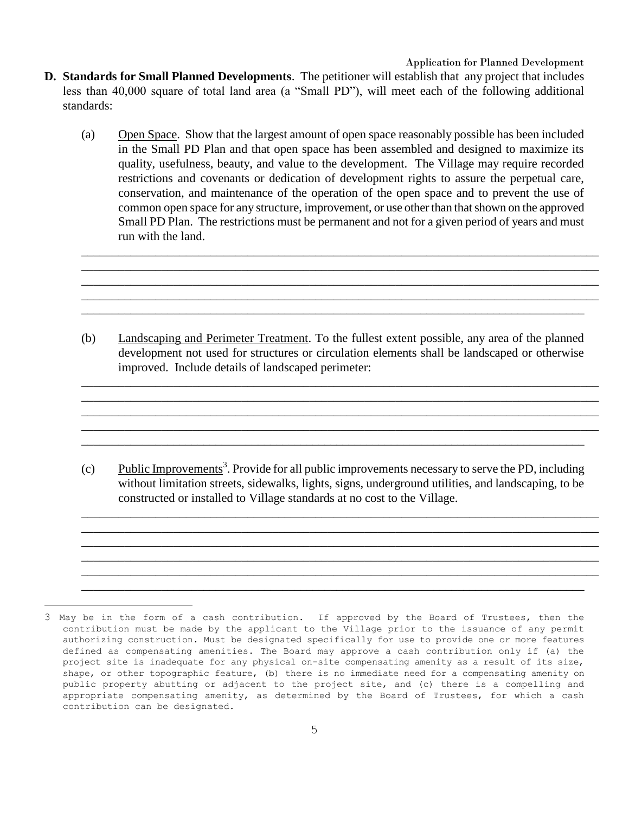Application for Planned Development

- **D. Standards for Small Planned Developments**. The petitioner will establish that any project that includes less than 40,000 square of total land area (a "Small PD"), will meet each of the following additional standards:
	- (a) Open Space. Show that the largest amount of open space reasonably possible has been included in the Small PD Plan and that open space has been assembled and designed to maximize its quality, usefulness, beauty, and value to the development. The Village may require recorded restrictions and covenants or dedication of development rights to assure the perpetual care, conservation, and maintenance of the operation of the open space and to prevent the use of common open space for any structure, improvement, or use other than that shown on the approved Small PD Plan. The restrictions must be permanent and not for a given period of years and must run with the land.

\_\_\_\_\_\_\_\_\_\_\_\_\_\_\_\_\_\_\_\_\_\_\_\_\_\_\_\_\_\_\_\_\_\_\_\_\_\_\_\_\_\_\_\_\_\_\_\_\_\_\_\_\_\_\_\_\_\_\_\_\_\_\_\_\_\_\_\_\_\_\_\_\_\_\_\_\_\_\_\_\_\_\_\_ \_\_\_\_\_\_\_\_\_\_\_\_\_\_\_\_\_\_\_\_\_\_\_\_\_\_\_\_\_\_\_\_\_\_\_\_\_\_\_\_\_\_\_\_\_\_\_\_\_\_\_\_\_\_\_\_\_\_\_\_\_\_\_\_\_\_\_\_\_\_\_\_\_\_\_\_\_\_\_\_\_\_\_\_ \_\_\_\_\_\_\_\_\_\_\_\_\_\_\_\_\_\_\_\_\_\_\_\_\_\_\_\_\_\_\_\_\_\_\_\_\_\_\_\_\_\_\_\_\_\_\_\_\_\_\_\_\_\_\_\_\_\_\_\_\_\_\_\_\_\_\_\_\_\_\_\_\_\_\_\_\_\_\_\_\_\_\_\_ \_\_\_\_\_\_\_\_\_\_\_\_\_\_\_\_\_\_\_\_\_\_\_\_\_\_\_\_\_\_\_\_\_\_\_\_\_\_\_\_\_\_\_\_\_\_\_\_\_\_\_\_\_\_\_\_\_\_\_\_\_\_\_\_\_\_\_\_\_\_\_\_\_\_\_\_\_\_\_\_\_\_\_\_ \_\_\_\_\_\_\_\_\_\_\_\_\_\_\_\_\_\_\_\_\_\_\_\_\_\_\_\_\_\_\_\_\_\_\_\_\_\_\_\_\_\_\_\_\_\_\_\_\_\_\_\_\_\_\_\_\_\_\_\_\_\_\_\_\_\_\_\_\_\_\_\_\_\_\_\_\_\_\_\_\_\_

(b) Landscaping and Perimeter Treatment. To the fullest extent possible, any area of the planned development not used for structures or circulation elements shall be landscaped or otherwise improved. Include details of landscaped perimeter:

\_\_\_\_\_\_\_\_\_\_\_\_\_\_\_\_\_\_\_\_\_\_\_\_\_\_\_\_\_\_\_\_\_\_\_\_\_\_\_\_\_\_\_\_\_\_\_\_\_\_\_\_\_\_\_\_\_\_\_\_\_\_\_\_\_\_\_\_\_\_\_\_\_\_\_\_\_\_\_\_\_\_\_\_ \_\_\_\_\_\_\_\_\_\_\_\_\_\_\_\_\_\_\_\_\_\_\_\_\_\_\_\_\_\_\_\_\_\_\_\_\_\_\_\_\_\_\_\_\_\_\_\_\_\_\_\_\_\_\_\_\_\_\_\_\_\_\_\_\_\_\_\_\_\_\_\_\_\_\_\_\_\_\_\_\_\_\_\_ \_\_\_\_\_\_\_\_\_\_\_\_\_\_\_\_\_\_\_\_\_\_\_\_\_\_\_\_\_\_\_\_\_\_\_\_\_\_\_\_\_\_\_\_\_\_\_\_\_\_\_\_\_\_\_\_\_\_\_\_\_\_\_\_\_\_\_\_\_\_\_\_\_\_\_\_\_\_\_\_\_\_\_\_ \_\_\_\_\_\_\_\_\_\_\_\_\_\_\_\_\_\_\_\_\_\_\_\_\_\_\_\_\_\_\_\_\_\_\_\_\_\_\_\_\_\_\_\_\_\_\_\_\_\_\_\_\_\_\_\_\_\_\_\_\_\_\_\_\_\_\_\_\_\_\_\_\_\_\_\_\_\_\_\_\_\_\_\_ \_\_\_\_\_\_\_\_\_\_\_\_\_\_\_\_\_\_\_\_\_\_\_\_\_\_\_\_\_\_\_\_\_\_\_\_\_\_\_\_\_\_\_\_\_\_\_\_\_\_\_\_\_\_\_\_\_\_\_\_\_\_\_\_\_\_\_\_\_\_\_\_\_\_\_\_\_\_\_\_\_\_\_

(c) Public Improvements<sup>3</sup>. Provide for all public improvements necessary to serve the PD, including without limitation streets, sidewalks, lights, signs, underground utilities, and landscaping, to be constructed or installed to Village standards at no cost to the Village.

\_\_\_\_\_\_\_\_\_\_\_\_\_\_\_\_\_\_\_\_\_\_\_\_\_\_\_\_\_\_\_\_\_\_\_\_\_\_\_\_\_\_\_\_\_\_\_\_\_\_\_\_\_\_\_\_\_\_\_\_\_\_\_\_\_\_\_\_\_\_\_\_\_\_\_\_\_\_\_\_\_\_\_\_ \_\_\_\_\_\_\_\_\_\_\_\_\_\_\_\_\_\_\_\_\_\_\_\_\_\_\_\_\_\_\_\_\_\_\_\_\_\_\_\_\_\_\_\_\_\_\_\_\_\_\_\_\_\_\_\_\_\_\_\_\_\_\_\_\_\_\_\_\_\_\_\_\_\_\_\_\_\_\_\_\_\_\_\_ \_\_\_\_\_\_\_\_\_\_\_\_\_\_\_\_\_\_\_\_\_\_\_\_\_\_\_\_\_\_\_\_\_\_\_\_\_\_\_\_\_\_\_\_\_\_\_\_\_\_\_\_\_\_\_\_\_\_\_\_\_\_\_\_\_\_\_\_\_\_\_\_\_\_\_\_\_\_\_\_\_\_\_\_ \_\_\_\_\_\_\_\_\_\_\_\_\_\_\_\_\_\_\_\_\_\_\_\_\_\_\_\_\_\_\_\_\_\_\_\_\_\_\_\_\_\_\_\_\_\_\_\_\_\_\_\_\_\_\_\_\_\_\_\_\_\_\_\_\_\_\_\_\_\_\_\_\_\_\_\_\_\_\_\_\_\_\_\_ \_\_\_\_\_\_\_\_\_\_\_\_\_\_\_\_\_\_\_\_\_\_\_\_\_\_\_\_\_\_\_\_\_\_\_\_\_\_\_\_\_\_\_\_\_\_\_\_\_\_\_\_\_\_\_\_\_\_\_\_\_\_\_\_\_\_\_\_\_\_\_\_\_\_\_\_\_\_\_\_\_\_\_\_ \_\_\_\_\_\_\_\_\_\_\_\_\_\_\_\_\_\_\_\_\_\_\_\_\_\_\_\_\_\_\_\_\_\_\_\_\_\_\_\_\_\_\_\_\_\_\_\_\_\_\_\_\_\_\_\_\_\_\_\_\_\_\_\_\_\_\_\_\_\_\_\_\_\_\_\_\_\_\_\_\_\_\_

<u>.</u>

<sup>3</sup> May be in the form of a cash contribution. If approved by the Board of Trustees, then the contribution must be made by the applicant to the Village prior to the issuance of any permit authorizing construction. Must be designated specifically for use to provide one or more features defined as compensating amenities. The Board may approve a cash contribution only if (a) the project site is inadequate for any physical on-site compensating amenity as a result of its size, shape, or other topographic feature, (b) there is no immediate need for a compensating amenity on public property abutting or adjacent to the project site, and (c) there is a compelling and appropriate compensating amenity, as determined by the Board of Trustees, for which a cash contribution can be designated.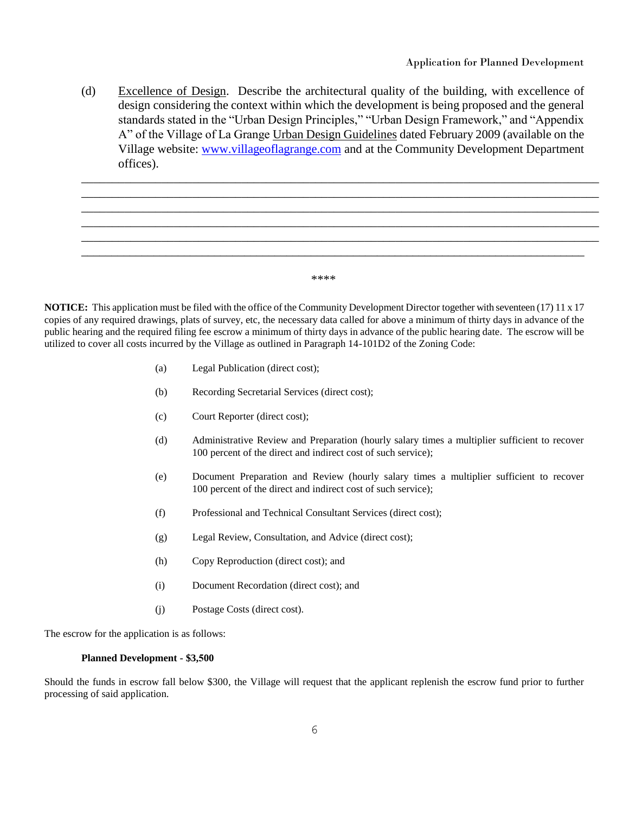(d) Excellence of Design. Describe the architectural quality of the building, with excellence of design considering the context within which the development is being proposed and the general standards stated in the "Urban Design Principles," "Urban Design Framework," and "Appendix A" of the Village of La Grange Urban Design Guidelines dated February 2009 (available on the Village website: [www.villageoflagrange.com](http://www.villageoflagrange.com/) and at the Community Development Department offices).

\_\_\_\_\_\_\_\_\_\_\_\_\_\_\_\_\_\_\_\_\_\_\_\_\_\_\_\_\_\_\_\_\_\_\_\_\_\_\_\_\_\_\_\_\_\_\_\_\_\_\_\_\_\_\_\_\_\_\_\_\_\_\_\_\_\_\_\_\_\_\_\_\_\_\_\_\_\_\_\_\_\_\_\_ \_\_\_\_\_\_\_\_\_\_\_\_\_\_\_\_\_\_\_\_\_\_\_\_\_\_\_\_\_\_\_\_\_\_\_\_\_\_\_\_\_\_\_\_\_\_\_\_\_\_\_\_\_\_\_\_\_\_\_\_\_\_\_\_\_\_\_\_\_\_\_\_\_\_\_\_\_\_\_\_\_\_\_\_ \_\_\_\_\_\_\_\_\_\_\_\_\_\_\_\_\_\_\_\_\_\_\_\_\_\_\_\_\_\_\_\_\_\_\_\_\_\_\_\_\_\_\_\_\_\_\_\_\_\_\_\_\_\_\_\_\_\_\_\_\_\_\_\_\_\_\_\_\_\_\_\_\_\_\_\_\_\_\_\_\_\_\_\_ \_\_\_\_\_\_\_\_\_\_\_\_\_\_\_\_\_\_\_\_\_\_\_\_\_\_\_\_\_\_\_\_\_\_\_\_\_\_\_\_\_\_\_\_\_\_\_\_\_\_\_\_\_\_\_\_\_\_\_\_\_\_\_\_\_\_\_\_\_\_\_\_\_\_\_\_\_\_\_\_\_\_\_\_ \_\_\_\_\_\_\_\_\_\_\_\_\_\_\_\_\_\_\_\_\_\_\_\_\_\_\_\_\_\_\_\_\_\_\_\_\_\_\_\_\_\_\_\_\_\_\_\_\_\_\_\_\_\_\_\_\_\_\_\_\_\_\_\_\_\_\_\_\_\_\_\_\_\_\_\_\_\_\_\_\_\_\_\_ \_\_\_\_\_\_\_\_\_\_\_\_\_\_\_\_\_\_\_\_\_\_\_\_\_\_\_\_\_\_\_\_\_\_\_\_\_\_\_\_\_\_\_\_\_\_\_\_\_\_\_\_\_\_\_\_\_\_\_\_\_\_\_\_\_\_\_\_\_\_\_\_\_\_\_\_\_\_\_\_\_\_\_\_

\*\*\*\*

**NOTICE:** This application must be filed with the office of the Community Development Director together with seventeen (17) 11 x 17 copies of any required drawings, plats of survey, etc, the necessary data called for above a minimum of thirty days in advance of the public hearing and the required filing fee escrow a minimum of thirty days in advance of the public hearing date. The escrow will be utilized to cover all costs incurred by the Village as outlined in Paragraph 14-101D2 of the Zoning Code:

- (a) Legal Publication (direct cost);
- (b) Recording Secretarial Services (direct cost);
- (c) Court Reporter (direct cost);
- (d) Administrative Review and Preparation (hourly salary times a multiplier sufficient to recover 100 percent of the direct and indirect cost of such service);
- (e) Document Preparation and Review (hourly salary times a multiplier sufficient to recover 100 percent of the direct and indirect cost of such service);
- (f) Professional and Technical Consultant Services (direct cost);
- (g) Legal Review, Consultation, and Advice (direct cost);
- (h) Copy Reproduction (direct cost); and
- (i) Document Recordation (direct cost); and
- (j) Postage Costs (direct cost).

The escrow for the application is as follows:

#### **Planned Development - \$3,500**

Should the funds in escrow fall below \$300, the Village will request that the applicant replenish the escrow fund prior to further processing of said application.